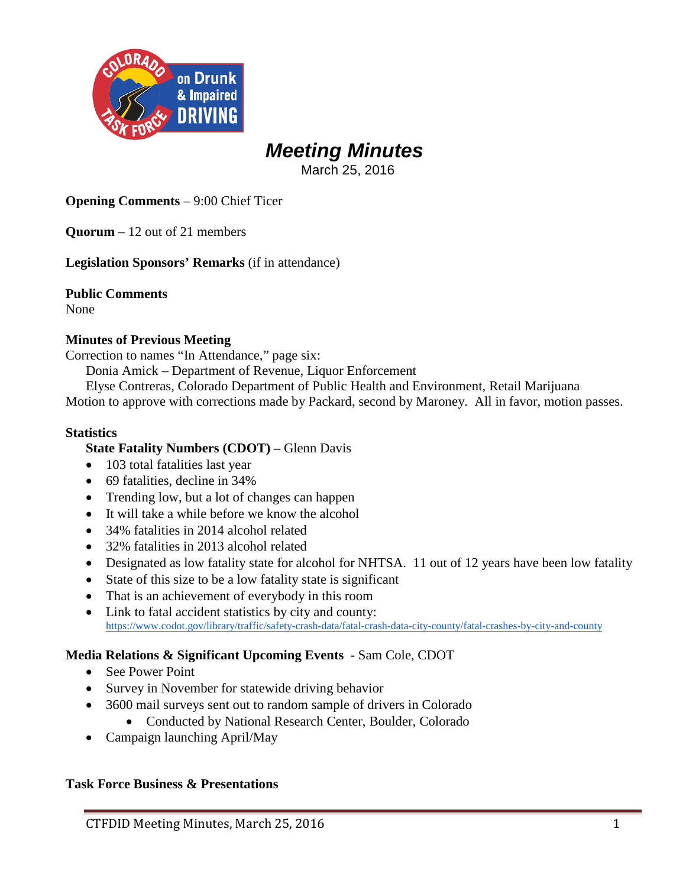

### *Meeting Minutes*

March 25, 2016

**Opening Comments** – 9:00 Chief Ticer

**Quorum** – 12 out of 21 members

**Legislation Sponsors' Remarks** (if in attendance)

**Public Comments** None

### **Minutes of Previous Meeting**

Correction to names "In Attendance," page six:

Donia Amick – Department of Revenue, Liquor Enforcement

Elyse Contreras, Colorado Department of Public Health and Environment, Retail Marijuana

Motion to approve with corrections made by Packard, second by Maroney. All in favor, motion passes.

#### **Statistics**

**State Fatality Numbers (CDOT) –** Glenn Davis

- 103 total fatalities last year
- 69 fatalities, decline in 34%
- Trending low, but a lot of changes can happen
- It will take a while before we know the alcohol
- 34% fatalities in 2014 alcohol related
- 32% fatalities in 2013 alcohol related
- Designated as low fatality state for alcohol for NHTSA. 11 out of 12 years have been low fatality
- State of this size to be a low fatality state is significant
- That is an achievement of everybody in this room
- Link to fatal accident statistics by city and county: <https://www.codot.gov/library/traffic/safety-crash-data/fatal-crash-data-city-county/fatal-crashes-by-city-and-county>

#### **Media Relations & Significant Upcoming Events -** Sam Cole, CDOT

- See Power Point
- Survey in November for statewide driving behavior
- 3600 mail surveys sent out to random sample of drivers in Colorado
	- Conducted by National Research Center, Boulder, Colorado
- Campaign launching April/May

### **Task Force Business & Presentations**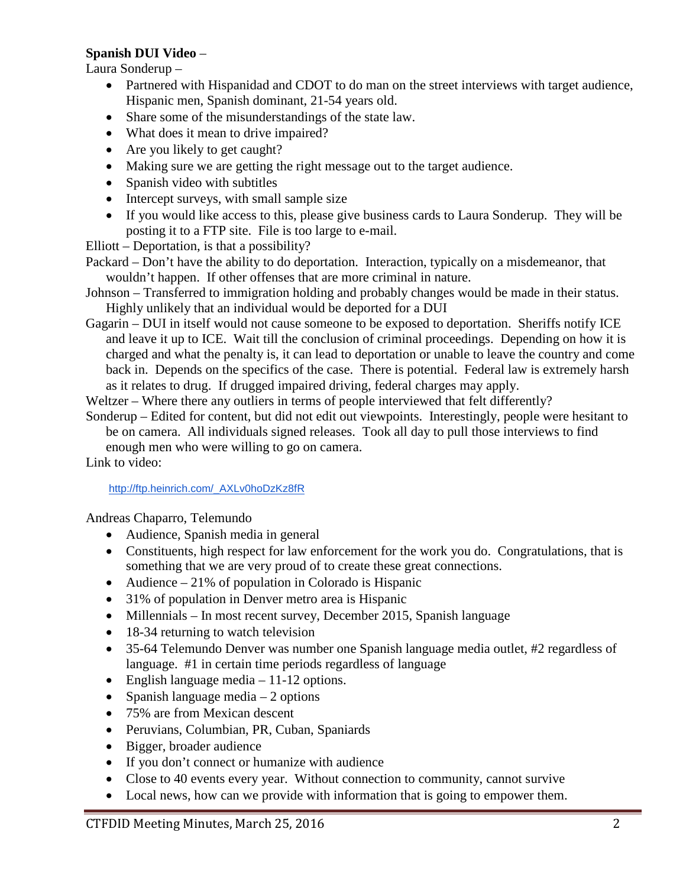### **Spanish DUI Video** –

Laura Sonderup –

- Partnered with Hispanidad and CDOT to do man on the street interviews with target audience, Hispanic men, Spanish dominant, 21-54 years old.
- Share some of the misunderstandings of the state law.
- What does it mean to drive impaired?
- Are you likely to get caught?
- Making sure we are getting the right message out to the target audience.
- Spanish video with subtitles
- Intercept surveys, with small sample size
- If you would like access to this, please give business cards to Laura Sonderup. They will be posting it to a FTP site. File is too large to e-mail.

Elliott – Deportation, is that a possibility?

- Packard Don't have the ability to do deportation. Interaction, typically on a misdemeanor, that wouldn't happen. If other offenses that are more criminal in nature.
- Johnson Transferred to immigration holding and probably changes would be made in their status. Highly unlikely that an individual would be deported for a DUI
- Gagarin DUI in itself would not cause someone to be exposed to deportation. Sheriffs notify ICE and leave it up to ICE. Wait till the conclusion of criminal proceedings. Depending on how it is charged and what the penalty is, it can lead to deportation or unable to leave the country and come back in. Depends on the specifics of the case. There is potential. Federal law is extremely harsh as it relates to drug. If drugged impaired driving, federal charges may apply.
- Weltzer Where there any outliers in terms of people interviewed that felt differently?
- Sonderup Edited for content, but did not edit out viewpoints. Interestingly, people were hesitant to be on camera. All individuals signed releases. Took all day to pull those interviews to find enough men who were willing to go on camera.

Link to video:

### [http://ftp.heinrich.com/\\_AXLv0hoDzKz8fR](http://ftp.heinrich.com/_AXLv0hoDzKz8fR)

Andreas Chaparro, Telemundo

- Audience, Spanish media in general
- Constituents, high respect for law enforcement for the work you do. Congratulations, that is something that we are very proud of to create these great connections.
- Audience  $-21\%$  of population in Colorado is Hispanic
- 31% of population in Denver metro area is Hispanic
- Millennials In most recent survey, December 2015, Spanish language
- 18-34 returning to watch television
- 35-64 Telemundo Denver was number one Spanish language media outlet, #2 regardless of language. #1 in certain time periods regardless of language
- English language media 11-12 options.
- Spanish language media  $-2$  options
- 75% are from Mexican descent
- Peruvians, Columbian, PR, Cuban, Spaniards
- Bigger, broader audience
- If you don't connect or humanize with audience
- Close to 40 events every year. Without connection to community, cannot survive
- Local news, how can we provide with information that is going to empower them.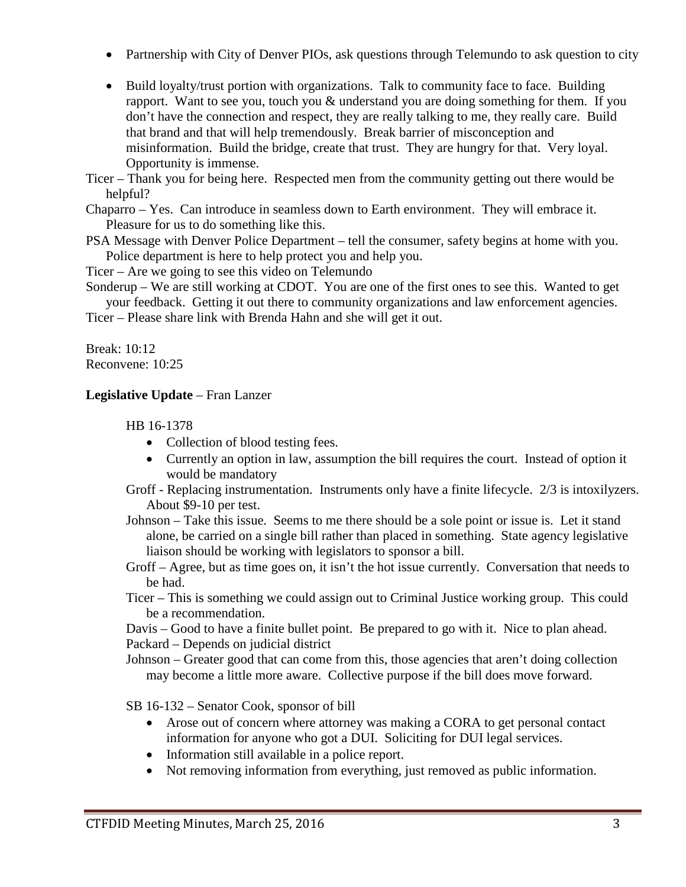- Partnership with City of Denver PIOs, ask questions through Telemundo to ask question to city
- Build loyalty/trust portion with organizations. Talk to community face to face. Building rapport. Want to see you, touch you & understand you are doing something for them. If you don't have the connection and respect, they are really talking to me, they really care. Build that brand and that will help tremendously. Break barrier of misconception and misinformation. Build the bridge, create that trust. They are hungry for that. Very loyal. Opportunity is immense.

Ticer – Thank you for being here. Respected men from the community getting out there would be helpful?

Chaparro – Yes. Can introduce in seamless down to Earth environment. They will embrace it. Pleasure for us to do something like this.

PSA Message with Denver Police Department – tell the consumer, safety begins at home with you. Police department is here to help protect you and help you.

Ticer – Are we going to see this video on Telemundo

Sonderup – We are still working at CDOT. You are one of the first ones to see this. Wanted to get your feedback. Getting it out there to community organizations and law enforcement agencies.

Ticer – Please share link with Brenda Hahn and she will get it out.

Break: 10:12 Reconvene: 10:25

### **Legislative Update** – Fran Lanzer

HB 16-1378

- Collection of blood testing fees.
- Currently an option in law, assumption the bill requires the court. Instead of option it would be mandatory
- Groff Replacing instrumentation. Instruments only have a finite lifecycle. 2/3 is intoxilyzers. About \$9-10 per test.
- Johnson Take this issue. Seems to me there should be a sole point or issue is. Let it stand alone, be carried on a single bill rather than placed in something. State agency legislative liaison should be working with legislators to sponsor a bill.
- Groff Agree, but as time goes on, it isn't the hot issue currently. Conversation that needs to be had.
- Ticer This is something we could assign out to Criminal Justice working group. This could be a recommendation.

Davis – Good to have a finite bullet point. Be prepared to go with it. Nice to plan ahead. Packard – Depends on judicial district

Johnson – Greater good that can come from this, those agencies that aren't doing collection may become a little more aware. Collective purpose if the bill does move forward.

SB 16-132 – Senator Cook, sponsor of bill

- Arose out of concern where attorney was making a CORA to get personal contact information for anyone who got a DUI. Soliciting for DUI legal services.
- Information still available in a police report.
- Not removing information from everything, just removed as public information.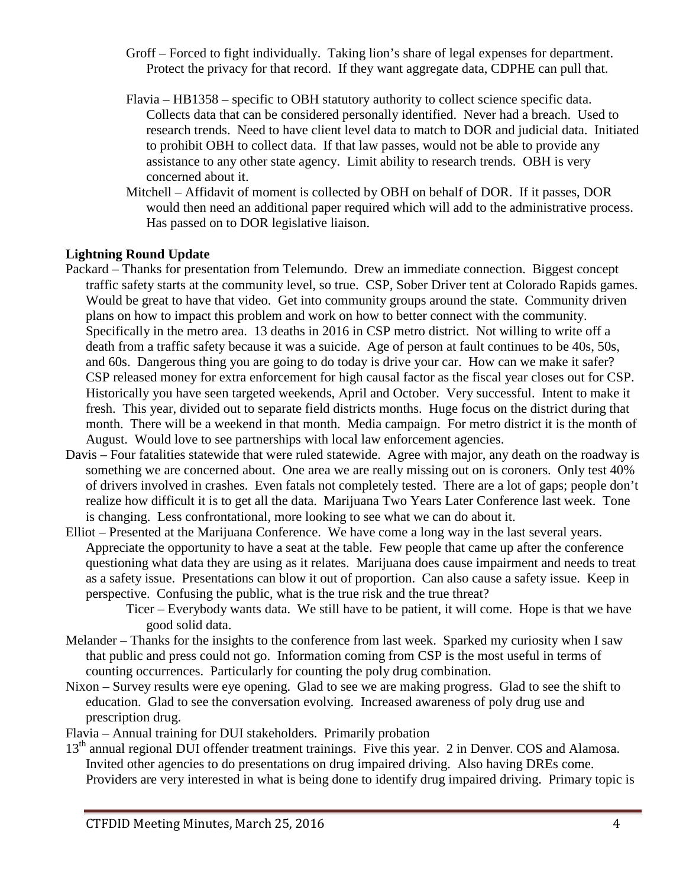- Groff Forced to fight individually. Taking lion's share of legal expenses for department. Protect the privacy for that record. If they want aggregate data, CDPHE can pull that.
- Flavia HB1358 specific to OBH statutory authority to collect science specific data. Collects data that can be considered personally identified. Never had a breach. Used to research trends. Need to have client level data to match to DOR and judicial data. Initiated to prohibit OBH to collect data. If that law passes, would not be able to provide any assistance to any other state agency. Limit ability to research trends. OBH is very concerned about it.
- Mitchell Affidavit of moment is collected by OBH on behalf of DOR. If it passes, DOR would then need an additional paper required which will add to the administrative process. Has passed on to DOR legislative liaison.

### **Lightning Round Update**

- Packard Thanks for presentation from Telemundo. Drew an immediate connection. Biggest concept traffic safety starts at the community level, so true. CSP, Sober Driver tent at Colorado Rapids games. Would be great to have that video. Get into community groups around the state. Community driven plans on how to impact this problem and work on how to better connect with the community. Specifically in the metro area. 13 deaths in 2016 in CSP metro district. Not willing to write off a death from a traffic safety because it was a suicide. Age of person at fault continues to be 40s, 50s, and 60s. Dangerous thing you are going to do today is drive your car. How can we make it safer? CSP released money for extra enforcement for high causal factor as the fiscal year closes out for CSP. Historically you have seen targeted weekends, April and October. Very successful. Intent to make it fresh. This year, divided out to separate field districts months. Huge focus on the district during that month. There will be a weekend in that month. Media campaign. For metro district it is the month of August. Would love to see partnerships with local law enforcement agencies.
- Davis Four fatalities statewide that were ruled statewide. Agree with major, any death on the roadway is something we are concerned about. One area we are really missing out on is coroners. Only test 40% of drivers involved in crashes. Even fatals not completely tested. There are a lot of gaps; people don't realize how difficult it is to get all the data. Marijuana Two Years Later Conference last week. Tone is changing. Less confrontational, more looking to see what we can do about it.
- Elliot Presented at the Marijuana Conference. We have come a long way in the last several years. Appreciate the opportunity to have a seat at the table. Few people that came up after the conference questioning what data they are using as it relates. Marijuana does cause impairment and needs to treat as a safety issue. Presentations can blow it out of proportion. Can also cause a safety issue. Keep in perspective. Confusing the public, what is the true risk and the true threat?
	- Ticer Everybody wants data. We still have to be patient, it will come. Hope is that we have good solid data.
- Melander Thanks for the insights to the conference from last week. Sparked my curiosity when I saw that public and press could not go. Information coming from CSP is the most useful in terms of counting occurrences. Particularly for counting the poly drug combination.
- Nixon Survey results were eye opening. Glad to see we are making progress. Glad to see the shift to education. Glad to see the conversation evolving. Increased awareness of poly drug use and prescription drug.
- Flavia Annual training for DUI stakeholders. Primarily probation
- 13<sup>th</sup> annual regional DUI offender treatment trainings. Five this year. 2 in Denver. COS and Alamosa. Invited other agencies to do presentations on drug impaired driving. Also having DREs come. Providers are very interested in what is being done to identify drug impaired driving. Primary topic is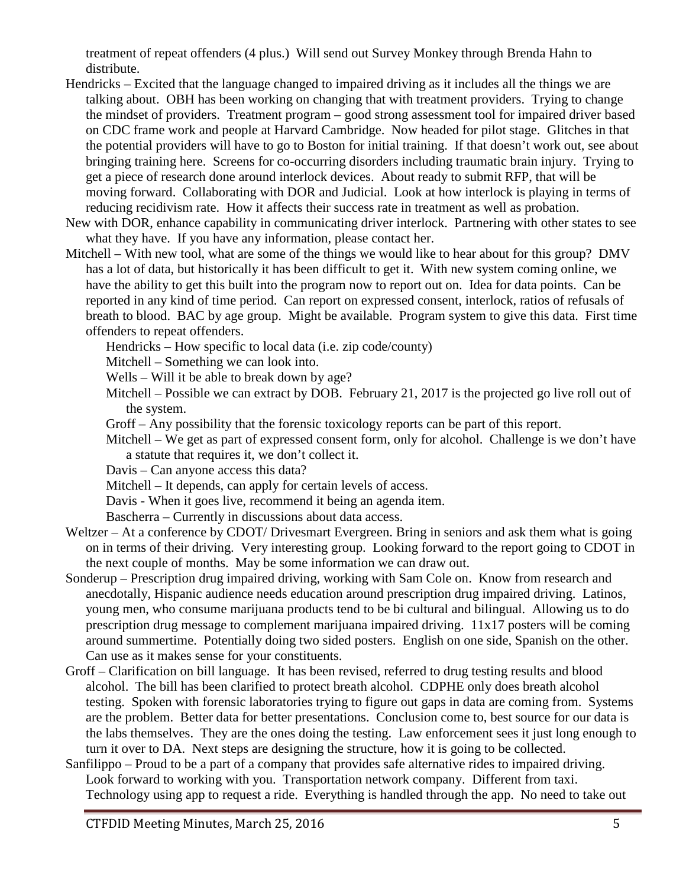treatment of repeat offenders (4 plus.) Will send out Survey Monkey through Brenda Hahn to distribute.

- Hendricks Excited that the language changed to impaired driving as it includes all the things we are talking about. OBH has been working on changing that with treatment providers. Trying to change the mindset of providers. Treatment program – good strong assessment tool for impaired driver based on CDC frame work and people at Harvard Cambridge. Now headed for pilot stage. Glitches in that the potential providers will have to go to Boston for initial training. If that doesn't work out, see about bringing training here. Screens for co-occurring disorders including traumatic brain injury. Trying to get a piece of research done around interlock devices. About ready to submit RFP, that will be moving forward. Collaborating with DOR and Judicial. Look at how interlock is playing in terms of reducing recidivism rate. How it affects their success rate in treatment as well as probation.
- New with DOR, enhance capability in communicating driver interlock. Partnering with other states to see what they have. If you have any information, please contact her.
- Mitchell With new tool, what are some of the things we would like to hear about for this group? DMV has a lot of data, but historically it has been difficult to get it. With new system coming online, we have the ability to get this built into the program now to report out on. Idea for data points. Can be reported in any kind of time period. Can report on expressed consent, interlock, ratios of refusals of breath to blood. BAC by age group. Might be available. Program system to give this data. First time offenders to repeat offenders.

Hendricks – How specific to local data (i.e. zip code/county)

Mitchell – Something we can look into.

Wells – Will it be able to break down by age?

- Mitchell Possible we can extract by DOB. February 21, 2017 is the projected go live roll out of the system.
- Groff Any possibility that the forensic toxicology reports can be part of this report.
- Mitchell We get as part of expressed consent form, only for alcohol. Challenge is we don't have a statute that requires it, we don't collect it.

Davis – Can anyone access this data?

Mitchell – It depends, can apply for certain levels of access.

Davis - When it goes live, recommend it being an agenda item.

Bascherra – Currently in discussions about data access.

- Weltzer At a conference by CDOT/ Drivesmart Evergreen. Bring in seniors and ask them what is going on in terms of their driving. Very interesting group. Looking forward to the report going to CDOT in the next couple of months. May be some information we can draw out.
- Sonderup Prescription drug impaired driving, working with Sam Cole on. Know from research and anecdotally, Hispanic audience needs education around prescription drug impaired driving. Latinos, young men, who consume marijuana products tend to be bi cultural and bilingual. Allowing us to do prescription drug message to complement marijuana impaired driving. 11x17 posters will be coming around summertime. Potentially doing two sided posters. English on one side, Spanish on the other. Can use as it makes sense for your constituents.
- Groff Clarification on bill language. It has been revised, referred to drug testing results and blood alcohol. The bill has been clarified to protect breath alcohol. CDPHE only does breath alcohol testing. Spoken with forensic laboratories trying to figure out gaps in data are coming from. Systems are the problem. Better data for better presentations. Conclusion come to, best source for our data is the labs themselves. They are the ones doing the testing. Law enforcement sees it just long enough to turn it over to DA. Next steps are designing the structure, how it is going to be collected.
- Sanfilippo Proud to be a part of a company that provides safe alternative rides to impaired driving. Look forward to working with you. Transportation network company. Different from taxi. Technology using app to request a ride. Everything is handled through the app. No need to take out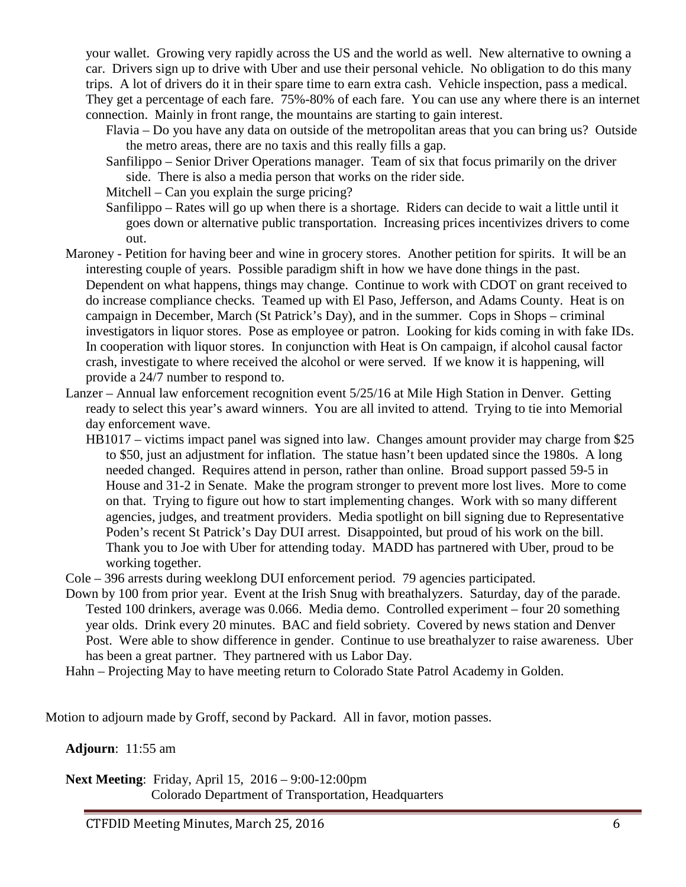your wallet. Growing very rapidly across the US and the world as well. New alternative to owning a car. Drivers sign up to drive with Uber and use their personal vehicle. No obligation to do this many trips. A lot of drivers do it in their spare time to earn extra cash. Vehicle inspection, pass a medical. They get a percentage of each fare. 75%-80% of each fare. You can use any where there is an internet connection. Mainly in front range, the mountains are starting to gain interest.

- Flavia Do you have any data on outside of the metropolitan areas that you can bring us? Outside the metro areas, there are no taxis and this really fills a gap.
- Sanfilippo Senior Driver Operations manager. Team of six that focus primarily on the driver side. There is also a media person that works on the rider side.

Mitchell – Can you explain the surge pricing?

- Sanfilippo Rates will go up when there is a shortage. Riders can decide to wait a little until it goes down or alternative public transportation. Increasing prices incentivizes drivers to come out.
- Maroney Petition for having beer and wine in grocery stores. Another petition for spirits. It will be an interesting couple of years. Possible paradigm shift in how we have done things in the past. Dependent on what happens, things may change. Continue to work with CDOT on grant received to do increase compliance checks. Teamed up with El Paso, Jefferson, and Adams County. Heat is on campaign in December, March (St Patrick's Day), and in the summer. Cops in Shops – criminal investigators in liquor stores. Pose as employee or patron. Looking for kids coming in with fake IDs. In cooperation with liquor stores. In conjunction with Heat is On campaign, if alcohol causal factor crash, investigate to where received the alcohol or were served. If we know it is happening, will provide a 24/7 number to respond to.
- Lanzer Annual law enforcement recognition event 5/25/16 at Mile High Station in Denver. Getting ready to select this year's award winners. You are all invited to attend. Trying to tie into Memorial day enforcement wave.
	- HB1017 victims impact panel was signed into law. Changes amount provider may charge from \$25 to \$50, just an adjustment for inflation. The statue hasn't been updated since the 1980s. A long needed changed. Requires attend in person, rather than online. Broad support passed 59-5 in House and 31-2 in Senate. Make the program stronger to prevent more lost lives. More to come on that. Trying to figure out how to start implementing changes. Work with so many different agencies, judges, and treatment providers. Media spotlight on bill signing due to Representative Poden's recent St Patrick's Day DUI arrest. Disappointed, but proud of his work on the bill. Thank you to Joe with Uber for attending today. MADD has partnered with Uber, proud to be working together.
- Cole 396 arrests during weeklong DUI enforcement period. 79 agencies participated.
- Down by 100 from prior year. Event at the Irish Snug with breathalyzers. Saturday, day of the parade. Tested 100 drinkers, average was 0.066. Media demo. Controlled experiment – four 20 something year olds. Drink every 20 minutes. BAC and field sobriety. Covered by news station and Denver Post. Were able to show difference in gender. Continue to use breathalyzer to raise awareness. Uber has been a great partner. They partnered with us Labor Day.
- Hahn Projecting May to have meeting return to Colorado State Patrol Academy in Golden.

Motion to adjourn made by Groff, second by Packard. All in favor, motion passes.

**Adjourn**: 11:55 am

**Next Meeting**: Friday, April 15, 2016 – 9:00-12:00pm Colorado Department of Transportation, Headquarters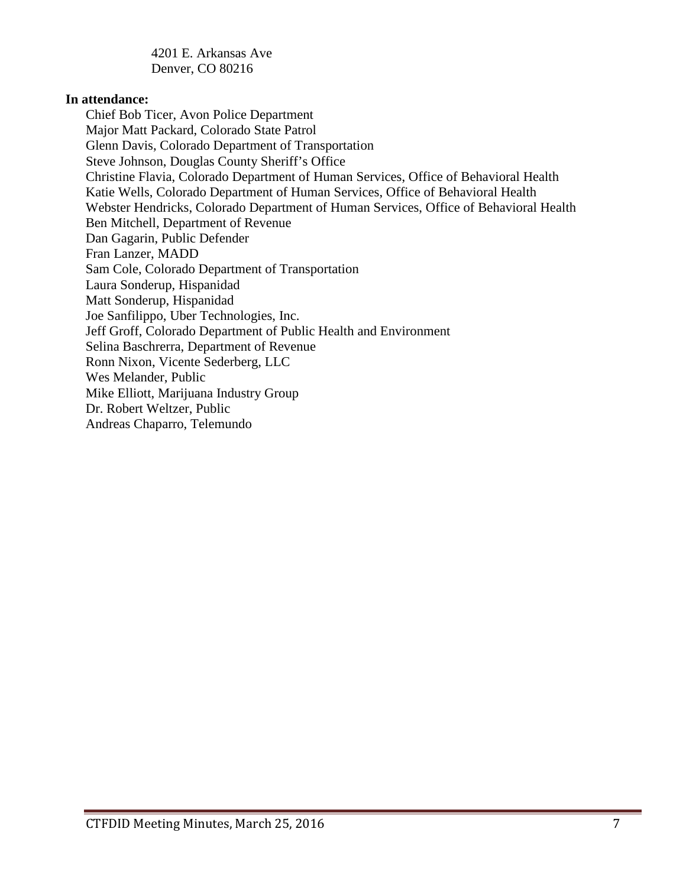4201 E. Arkansas Ave Denver, CO 80216

#### **In attendance:**

Chief Bob Ticer, Avon Police Department Major Matt Packard, Colorado State Patrol Glenn Davis, Colorado Department of Transportation Steve Johnson, Douglas County Sheriff's Office Christine Flavia, Colorado Department of Human Services, Office of Behavioral Health Katie Wells, Colorado Department of Human Services, Office of Behavioral Health Webster Hendricks, Colorado Department of Human Services, Office of Behavioral Health Ben Mitchell, Department of Revenue Dan Gagarin, Public Defender Fran Lanzer, MADD Sam Cole, Colorado Department of Transportation Laura Sonderup, Hispanidad Matt Sonderup, Hispanidad Joe Sanfilippo, Uber Technologies, Inc. Jeff Groff, Colorado Department of Public Health and Environment Selina Baschrerra, Department of Revenue Ronn Nixon, Vicente Sederberg, LLC Wes Melander, Public Mike Elliott, Marijuana Industry Group Dr. Robert Weltzer, Public Andreas Chaparro, Telemundo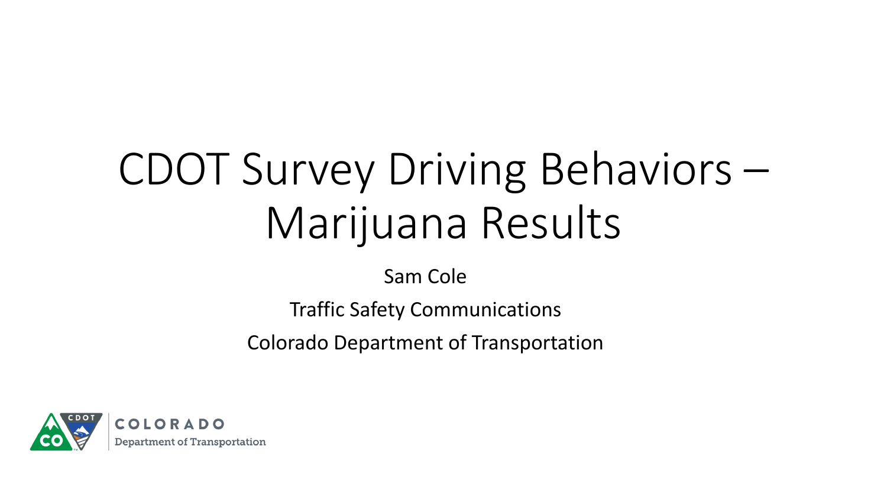# CDOT Survey Driving Behaviors – Marijuana Results

Sam Cole

Traffic Safety Communications

Colorado Department of Transportation

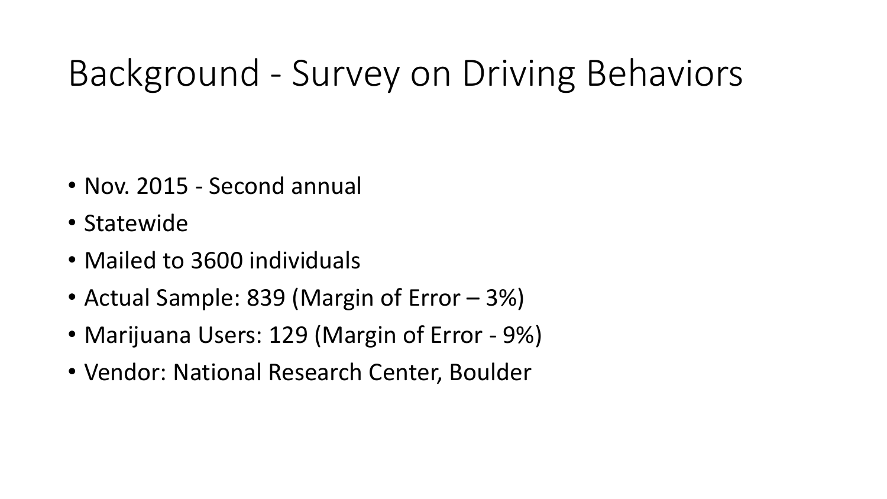## Background - Survey on Driving Behaviors

- Nov. 2015 Second annual
- Statewide
- Mailed to 3600 individuals
- Actual Sample: 839 (Margin of Error 3%)
- Marijuana Users: 129 (Margin of Error 9%)
- Vendor: National Research Center, Boulder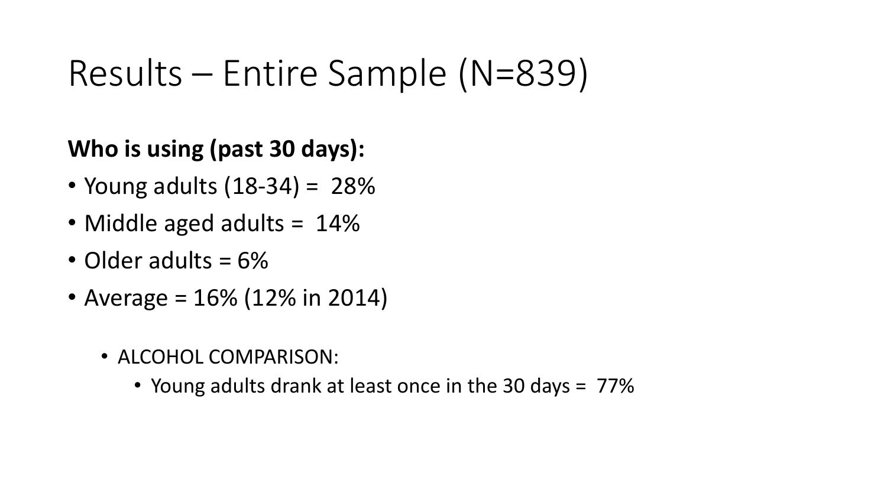## Results – Entire Sample (N=839)

### **Who is using (past 30 days):**

- Young adults  $(18-34) = 28%$
- Middle aged adults = 14%
- Older adults = 6%
- Average =  $16\%$  (12% in 2014)
	- ALCOHOL COMPARISON:
		- Young adults drank at least once in the 30 days = 77%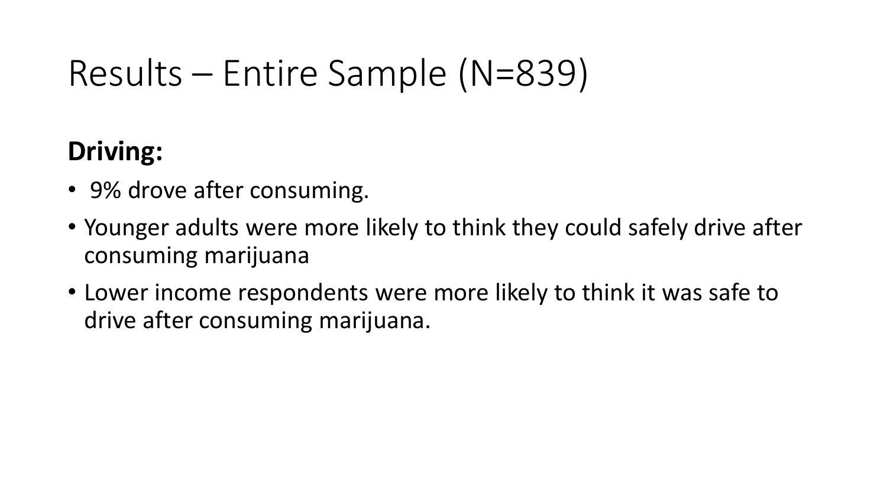## Results – Entire Sample (N=839)

## **Driving:**

- 9% drove after consuming.
- Younger adults were more likely to think they could safely drive after consuming marijuana
- Lower income respondents were more likely to think it was safe to drive after consuming marijuana.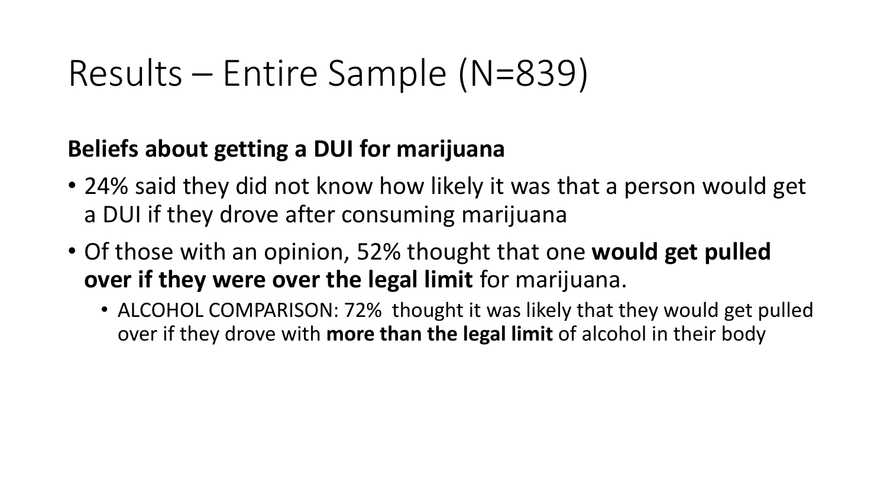## Results – Entire Sample (N=839)

### **Beliefs about getting a DUI for marijuana**

- 24% said they did not know how likely it was that a person would get a DUI if they drove after consuming marijuana
- Of those with an opinion, 52% thought that one **would get pulled over if they were over the legal limit** for marijuana.
	- ALCOHOL COMPARISON: 72% thought it was likely that they would get pulled over if they drove with **more than the legal limit** of alcohol in their body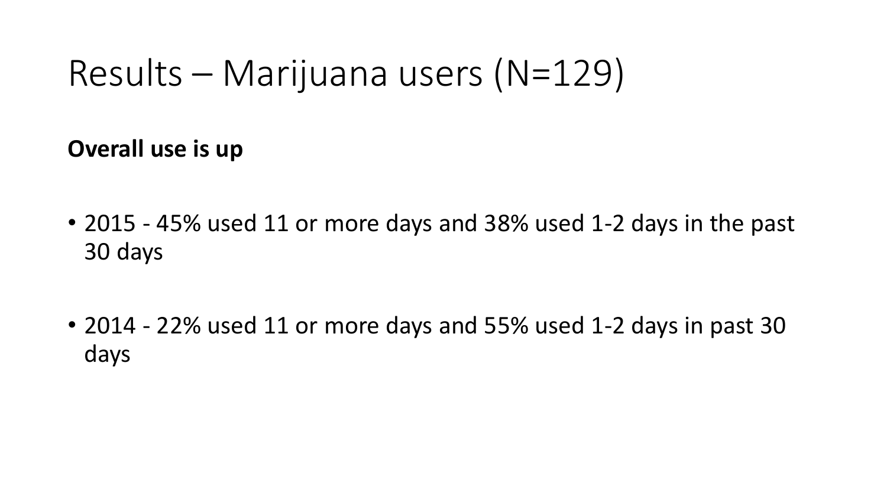**Overall use is up**

- 2015 45% used 11 or more days and 38% used 1-2 days in the past 30 days
- 2014 22% used 11 or more days and 55% used 1-2 days in past 30 days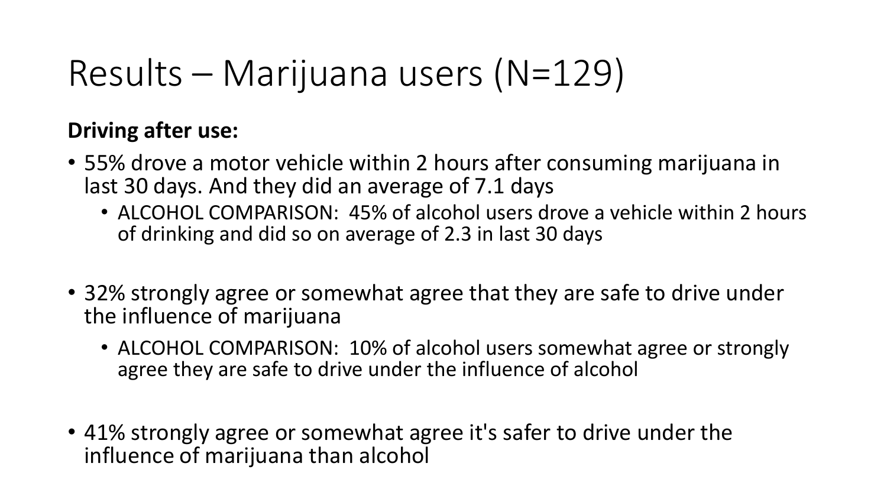### **Driving after use:**

- 55% drove a motor vehicle within 2 hours after consuming marijuana in last 30 days. And they did an average of 7.1 days
	- ALCOHOL COMPARISON: 45% of alcohol users drove a vehicle within 2 hours of drinking and did so on average of 2.3 in last 30 days
- 32% strongly agree or somewhat agree that they are safe to drive under the influence of marijuana
	- ALCOHOL COMPARISON: 10% of alcohol users somewhat agree or strongly agree they are safe to drive under the influence of alcohol
- 41% strongly agree or somewhat agree it's safer to drive under the influence of marijuana than alcohol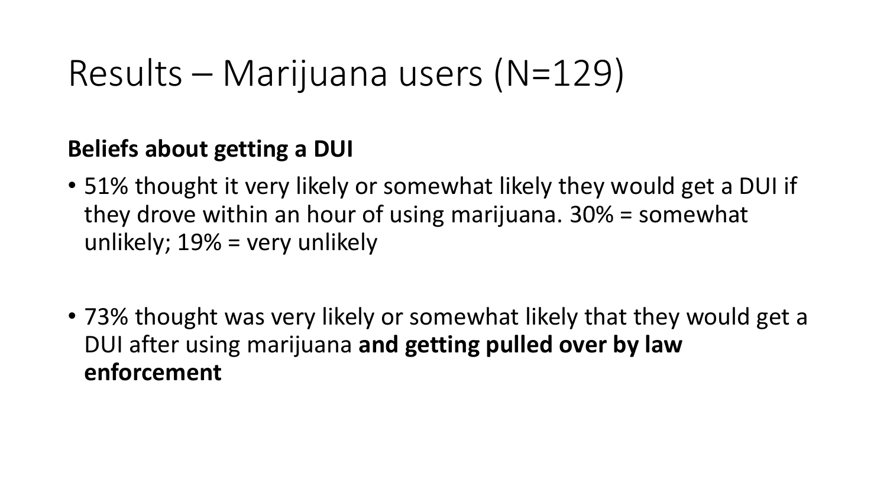### **Beliefs about getting a DUI**

- 51% thought it very likely or somewhat likely they would get a DUI if they drove within an hour of using marijuana. 30% = somewhat unlikely; 19% = very unlikely
- 73% thought was very likely or somewhat likely that they would get a DUI after using marijuana **and getting pulled over by law enforcement**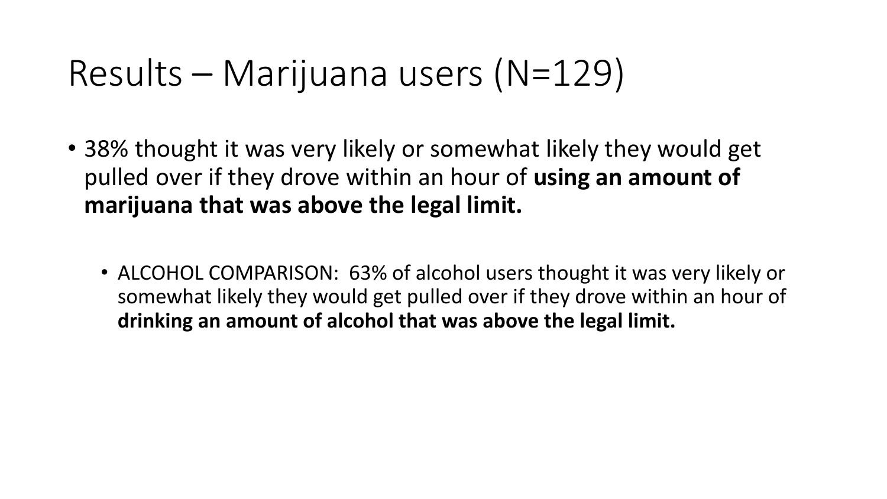- 38% thought it was very likely or somewhat likely they would get pulled over if they drove within an hour of **using an amount of marijuana that was above the legal limit.** 
	- ALCOHOL COMPARISON: 63% of alcohol users thought it was very likely or somewhat likely they would get pulled over if they drove within an hour of **drinking an amount of alcohol that was above the legal limit.**